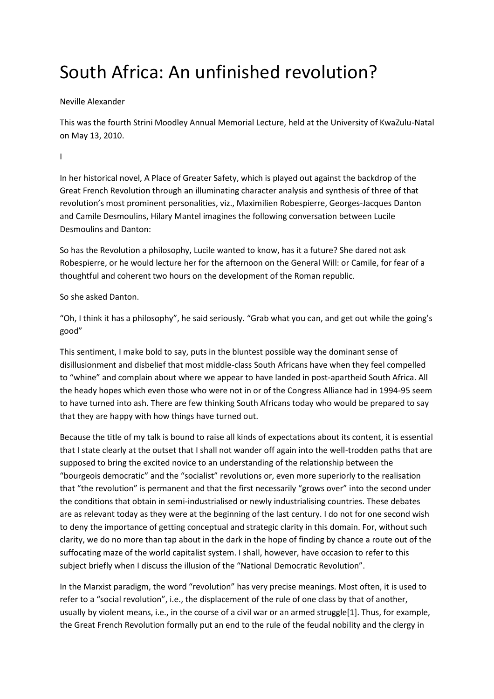# South Africa: An unfinished revolution?

## Neville Alexander

This was the fourth Strini Moodley Annual Memorial Lecture, held at the University of KwaZulu-Natal on May 13, 2010.

I

In her historical novel, A Place of Greater Safety, which is played out against the backdrop of the Great French Revolution through an illuminating character analysis and synthesis of three of that revolution's most prominent personalities, viz., Maximilien Robespierre, Georges-Jacques Danton and Camile Desmoulins, Hilary Mantel imagines the following conversation between Lucile Desmoulins and Danton:

So has the Revolution a philosophy, Lucile wanted to know, has it a future? She dared not ask Robespierre, or he would lecture her for the afternoon on the General Will: or Camile, for fear of a thoughtful and coherent two hours on the development of the Roman republic.

So she asked Danton.

"Oh, I think it has a philosophy", he said seriously. "Grab what you can, and get out while the going's good"

This sentiment, I make bold to say, puts in the bluntest possible way the dominant sense of disillusionment and disbelief that most middle-class South Africans have when they feel compelled to "whine" and complain about where we appear to have landed in post-apartheid South Africa. All the heady hopes which even those who were not in or of the Congress Alliance had in 1994-95 seem to have turned into ash. There are few thinking South Africans today who would be prepared to say that they are happy with how things have turned out.

Because the title of my talk is bound to raise all kinds of expectations about its content, it is essential that I state clearly at the outset that I shall not wander off again into the well-trodden paths that are supposed to bring the excited novice to an understanding of the relationship between the "bourgeois democratic" and the "socialist" revolutions or, even more superiorly to the realisation that "the revolution" is permanent and that the first necessarily "grows over" into the second under the conditions that obtain in semi-industrialised or newly industrialising countries. These debates are as relevant today as they were at the beginning of the last century. I do not for one second wish to deny the importance of getting conceptual and strategic clarity in this domain. For, without such clarity, we do no more than tap about in the dark in the hope of finding by chance a route out of the suffocating maze of the world capitalist system. I shall, however, have occasion to refer to this subject briefly when I discuss the illusion of the "National Democratic Revolution".

In the Marxist paradigm, the word "revolution" has very precise meanings. Most often, it is used to refer to a "social revolution", i.e., the displacement of the rule of one class by that of another, usually by violent means, i.e., in the course of a civil war or an armed struggle[1]. Thus, for example, the Great French Revolution formally put an end to the rule of the feudal nobility and the clergy in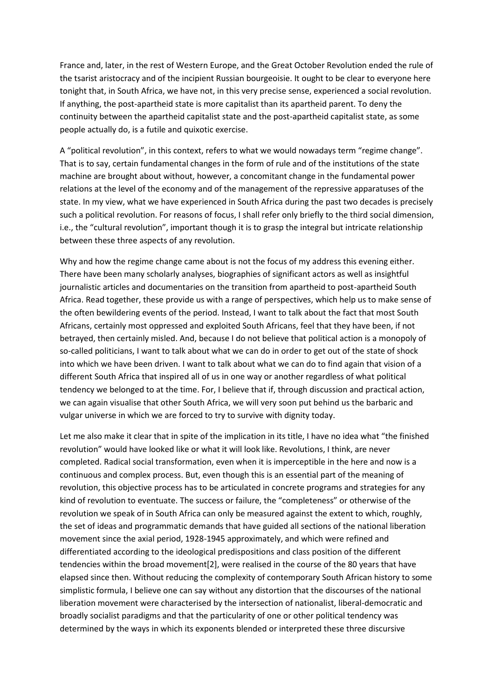France and, later, in the rest of Western Europe, and the Great October Revolution ended the rule of the tsarist aristocracy and of the incipient Russian bourgeoisie. It ought to be clear to everyone here tonight that, in South Africa, we have not, in this very precise sense, experienced a social revolution. If anything, the post-apartheid state is more capitalist than its apartheid parent. To deny the continuity between the apartheid capitalist state and the post-apartheid capitalist state, as some people actually do, is a futile and quixotic exercise.

A "political revolution", in this context, refers to what we would nowadays term "regime change". That is to say, certain fundamental changes in the form of rule and of the institutions of the state machine are brought about without, however, a concomitant change in the fundamental power relations at the level of the economy and of the management of the repressive apparatuses of the state. In my view, what we have experienced in South Africa during the past two decades is precisely such a political revolution. For reasons of focus, I shall refer only briefly to the third social dimension, i.e., the "cultural revolution", important though it is to grasp the integral but intricate relationship between these three aspects of any revolution.

Why and how the regime change came about is not the focus of my address this evening either. There have been many scholarly analyses, biographies of significant actors as well as insightful journalistic articles and documentaries on the transition from apartheid to post-apartheid South Africa. Read together, these provide us with a range of perspectives, which help us to make sense of the often bewildering events of the period. Instead, I want to talk about the fact that most South Africans, certainly most oppressed and exploited South Africans, feel that they have been, if not betrayed, then certainly misled. And, because I do not believe that political action is a monopoly of so-called politicians, I want to talk about what we can do in order to get out of the state of shock into which we have been driven. I want to talk about what we can do to find again that vision of a different South Africa that inspired all of us in one way or another regardless of what political tendency we belonged to at the time. For, I believe that if, through discussion and practical action, we can again visualise that other South Africa, we will very soon put behind us the barbaric and vulgar universe in which we are forced to try to survive with dignity today.

Let me also make it clear that in spite of the implication in its title, I have no idea what "the finished revolution" would have looked like or what it will look like. Revolutions, I think, are never completed. Radical social transformation, even when it is imperceptible in the here and now is a continuous and complex process. But, even though this is an essential part of the meaning of revolution, this objective process has to be articulated in concrete programs and strategies for any kind of revolution to eventuate. The success or failure, the "completeness" or otherwise of the revolution we speak of in South Africa can only be measured against the extent to which, roughly, the set of ideas and programmatic demands that have guided all sections of the national liberation movement since the axial period, 1928-1945 approximately, and which were refined and differentiated according to the ideological predispositions and class position of the different tendencies within the broad movement[2], were realised in the course of the 80 years that have elapsed since then. Without reducing the complexity of contemporary South African history to some simplistic formula, I believe one can say without any distortion that the discourses of the national liberation movement were characterised by the intersection of nationalist, liberal-democratic and broadly socialist paradigms and that the particularity of one or other political tendency was determined by the ways in which its exponents blended or interpreted these three discursive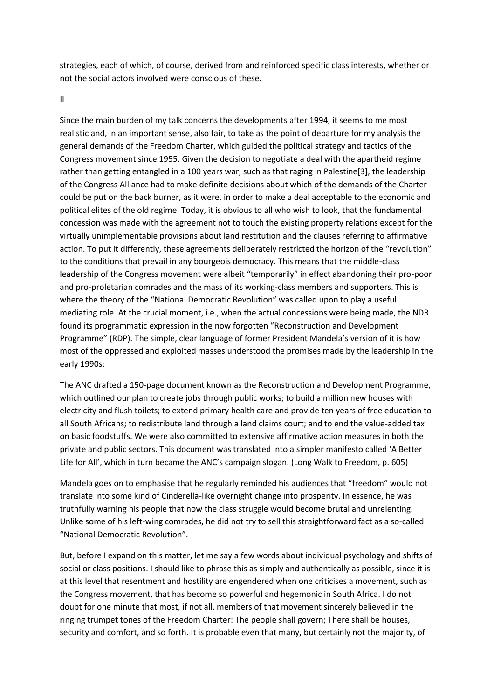strategies, each of which, of course, derived from and reinforced specific class interests, whether or not the social actors involved were conscious of these.

II

Since the main burden of my talk concerns the developments after 1994, it seems to me most realistic and, in an important sense, also fair, to take as the point of departure for my analysis the general demands of the Freedom Charter, which guided the political strategy and tactics of the Congress movement since 1955. Given the decision to negotiate a deal with the apartheid regime rather than getting entangled in a 100 years war, such as that raging in Palestine[3], the leadership of the Congress Alliance had to make definite decisions about which of the demands of the Charter could be put on the back burner, as it were, in order to make a deal acceptable to the economic and political elites of the old regime. Today, it is obvious to all who wish to look, that the fundamental concession was made with the agreement not to touch the existing property relations except for the virtually unimplementable provisions about land restitution and the clauses referring to affirmative action. To put it differently, these agreements deliberately restricted the horizon of the "revolution" to the conditions that prevail in any bourgeois democracy. This means that the middle-class leadership of the Congress movement were albeit "temporarily" in effect abandoning their pro-poor and pro-proletarian comrades and the mass of its working-class members and supporters. This is where the theory of the "National Democratic Revolution" was called upon to play a useful mediating role. At the crucial moment, i.e., when the actual concessions were being made, the NDR found its programmatic expression in the now forgotten "Reconstruction and Development Programme" (RDP). The simple, clear language of former President Mandela's version of it is how most of the oppressed and exploited masses understood the promises made by the leadership in the early 1990s:

The ANC drafted a 150-page document known as the Reconstruction and Development Programme, which outlined our plan to create jobs through public works; to build a million new houses with electricity and flush toilets; to extend primary health care and provide ten years of free education to all South Africans; to redistribute land through a land claims court; and to end the value-added tax on basic foodstuffs. We were also committed to extensive affirmative action measures in both the private and public sectors. This document was translated into a simpler manifesto called 'A Better Life for All', which in turn became the ANC's campaign slogan. (Long Walk to Freedom, p. 605)

Mandela goes on to emphasise that he regularly reminded his audiences that "freedom" would not translate into some kind of Cinderella-like overnight change into prosperity. In essence, he was truthfully warning his people that now the class struggle would become brutal and unrelenting. Unlike some of his left-wing comrades, he did not try to sell this straightforward fact as a so-called "National Democratic Revolution".

But, before I expand on this matter, let me say a few words about individual psychology and shifts of social or class positions. I should like to phrase this as simply and authentically as possible, since it is at this level that resentment and hostility are engendered when one criticises a movement, such as the Congress movement, that has become so powerful and hegemonic in South Africa. I do not doubt for one minute that most, if not all, members of that movement sincerely believed in the ringing trumpet tones of the Freedom Charter: The people shall govern; There shall be houses, security and comfort, and so forth. It is probable even that many, but certainly not the majority, of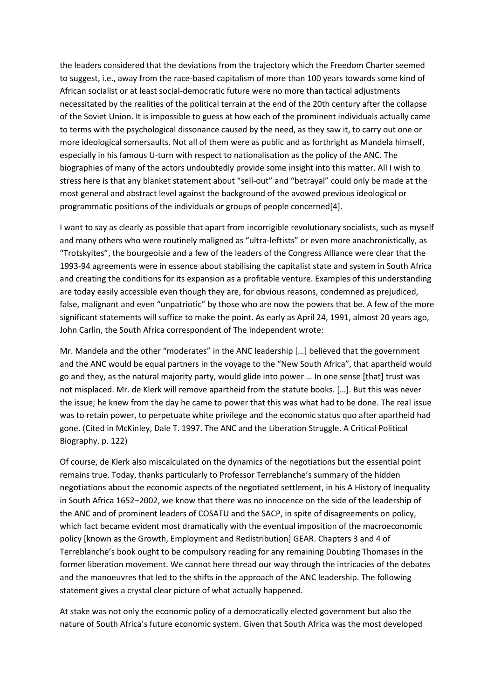the leaders considered that the deviations from the trajectory which the Freedom Charter seemed to suggest, i.e., away from the race-based capitalism of more than 100 years towards some kind of African socialist or at least social-democratic future were no more than tactical adjustments necessitated by the realities of the political terrain at the end of the 20th century after the collapse of the Soviet Union. It is impossible to guess at how each of the prominent individuals actually came to terms with the psychological dissonance caused by the need, as they saw it, to carry out one or more ideological somersaults. Not all of them were as public and as forthright as Mandela himself, especially in his famous U-turn with respect to nationalisation as the policy of the ANC. The biographies of many of the actors undoubtedly provide some insight into this matter. All I wish to stress here is that any blanket statement about "sell-out" and "betrayal" could only be made at the most general and abstract level against the background of the avowed previous ideological or programmatic positions of the individuals or groups of people concerned[4].

I want to say as clearly as possible that apart from incorrigible revolutionary socialists, such as myself and many others who were routinely maligned as "ultra-leftists" or even more anachronistically, as "Trotskyites", the bourgeoisie and a few of the leaders of the Congress Alliance were clear that the 1993-94 agreements were in essence about stabilising the capitalist state and system in South Africa and creating the conditions for its expansion as a profitable venture. Examples of this understanding are today easily accessible even though they are, for obvious reasons, condemned as prejudiced, false, malignant and even "unpatriotic" by those who are now the powers that be. A few of the more significant statements will suffice to make the point. As early as April 24, 1991, almost 20 years ago, John Carlin, the South Africa correspondent of The Independent wrote:

Mr. Mandela and the other "moderates" in the ANC leadership […] believed that the government and the ANC would be equal partners in the voyage to the "New South Africa", that apartheid would go and they, as the natural majority party, would glide into power … In one sense [that] trust was not misplaced. Mr. de Klerk will remove apartheid from the statute books. […]. But this was never the issue; he knew from the day he came to power that this was what had to be done. The real issue was to retain power, to perpetuate white privilege and the economic status quo after apartheid had gone. (Cited in McKinley, Dale T. 1997. The ANC and the Liberation Struggle. A Critical Political Biography. p. 122)

Of course, de Klerk also miscalculated on the dynamics of the negotiations but the essential point remains true. Today, thanks particularly to Professor Terreblanche's summary of the hidden negotiations about the economic aspects of the negotiated settlement, in his A History of Inequality in South Africa 1652–2002, we know that there was no innocence on the side of the leadership of the ANC and of prominent leaders of COSATU and the SACP, in spite of disagreements on policy, which fact became evident most dramatically with the eventual imposition of the macroeconomic policy [known as the Growth, Employment and Redistribution] GEAR. Chapters 3 and 4 of Terreblanche's book ought to be compulsory reading for any remaining Doubting Thomases in the former liberation movement. We cannot here thread our way through the intricacies of the debates and the manoeuvres that led to the shifts in the approach of the ANC leadership. The following statement gives a crystal clear picture of what actually happened.

At stake was not only the economic policy of a democratically elected government but also the nature of South Africa's future economic system. Given that South Africa was the most developed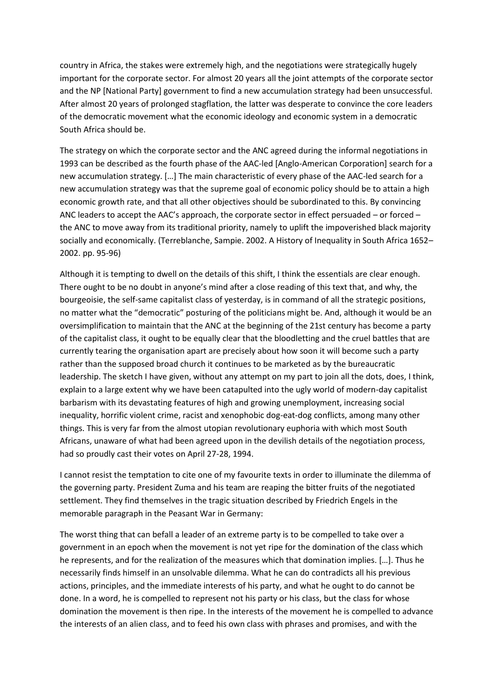country in Africa, the stakes were extremely high, and the negotiations were strategically hugely important for the corporate sector. For almost 20 years all the joint attempts of the corporate sector and the NP [National Party] government to find a new accumulation strategy had been unsuccessful. After almost 20 years of prolonged stagflation, the latter was desperate to convince the core leaders of the democratic movement what the economic ideology and economic system in a democratic South Africa should be.

The strategy on which the corporate sector and the ANC agreed during the informal negotiations in 1993 can be described as the fourth phase of the AAC-led [Anglo-American Corporation] search for a new accumulation strategy. […] The main characteristic of every phase of the AAC-led search for a new accumulation strategy was that the supreme goal of economic policy should be to attain a high economic growth rate, and that all other objectives should be subordinated to this. By convincing ANC leaders to accept the AAC's approach, the corporate sector in effect persuaded – or forced – the ANC to move away from its traditional priority, namely to uplift the impoverished black majority socially and economically. (Terreblanche, Sampie. 2002. A History of Inequality in South Africa 1652– 2002. pp. 95-96)

Although it is tempting to dwell on the details of this shift, I think the essentials are clear enough. There ought to be no doubt in anyone's mind after a close reading of this text that, and why, the bourgeoisie, the self-same capitalist class of yesterday, is in command of all the strategic positions, no matter what the "democratic" posturing of the politicians might be. And, although it would be an oversimplification to maintain that the ANC at the beginning of the 21st century has become a party of the capitalist class, it ought to be equally clear that the bloodletting and the cruel battles that are currently tearing the organisation apart are precisely about how soon it will become such a party rather than the supposed broad church it continues to be marketed as by the bureaucratic leadership. The sketch I have given, without any attempt on my part to join all the dots, does, I think, explain to a large extent why we have been catapulted into the ugly world of modern-day capitalist barbarism with its devastating features of high and growing unemployment, increasing social inequality, horrific violent crime, racist and xenophobic dog-eat-dog conflicts, among many other things. This is very far from the almost utopian revolutionary euphoria with which most South Africans, unaware of what had been agreed upon in the devilish details of the negotiation process, had so proudly cast their votes on April 27-28, 1994.

I cannot resist the temptation to cite one of my favourite texts in order to illuminate the dilemma of the governing party. President Zuma and his team are reaping the bitter fruits of the negotiated settlement. They find themselves in the tragic situation described by Friedrich Engels in the memorable paragraph in the Peasant War in Germany:

The worst thing that can befall a leader of an extreme party is to be compelled to take over a government in an epoch when the movement is not yet ripe for the domination of the class which he represents, and for the realization of the measures which that domination implies. […]. Thus he necessarily finds himself in an unsolvable dilemma. What he can do contradicts all his previous actions, principles, and the immediate interests of his party, and what he ought to do cannot be done. In a word, he is compelled to represent not his party or his class, but the class for whose domination the movement is then ripe. In the interests of the movement he is compelled to advance the interests of an alien class, and to feed his own class with phrases and promises, and with the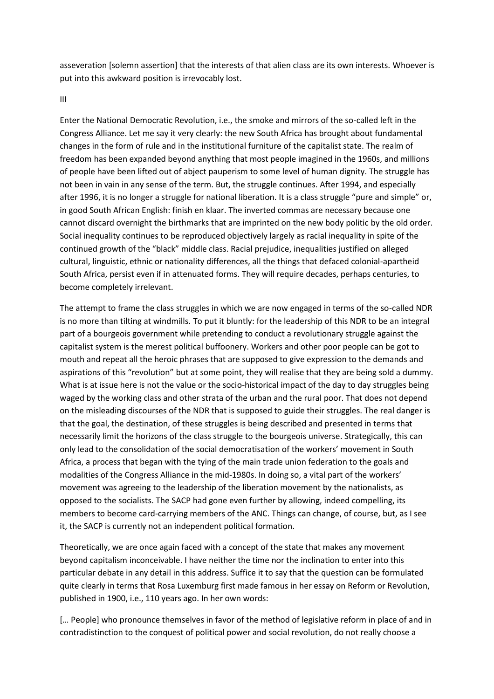asseveration [solemn assertion] that the interests of that alien class are its own interests. Whoever is put into this awkward position is irrevocably lost.

III

Enter the National Democratic Revolution, i.e., the smoke and mirrors of the so-called left in the Congress Alliance. Let me say it very clearly: the new South Africa has brought about fundamental changes in the form of rule and in the institutional furniture of the capitalist state. The realm of freedom has been expanded beyond anything that most people imagined in the 1960s, and millions of people have been lifted out of abject pauperism to some level of human dignity. The struggle has not been in vain in any sense of the term. But, the struggle continues. After 1994, and especially after 1996, it is no longer a struggle for national liberation. It is a class struggle "pure and simple" or, in good South African English: finish en klaar. The inverted commas are necessary because one cannot discard overnight the birthmarks that are imprinted on the new body politic by the old order. Social inequality continues to be reproduced objectively largely as racial inequality in spite of the continued growth of the "black" middle class. Racial prejudice, inequalities justified on alleged cultural, linguistic, ethnic or nationality differences, all the things that defaced colonial-apartheid South Africa, persist even if in attenuated forms. They will require decades, perhaps centuries, to become completely irrelevant.

The attempt to frame the class struggles in which we are now engaged in terms of the so-called NDR is no more than tilting at windmills. To put it bluntly: for the leadership of this NDR to be an integral part of a bourgeois government while pretending to conduct a revolutionary struggle against the capitalist system is the merest political buffoonery. Workers and other poor people can be got to mouth and repeat all the heroic phrases that are supposed to give expression to the demands and aspirations of this "revolution" but at some point, they will realise that they are being sold a dummy. What is at issue here is not the value or the socio-historical impact of the day to day struggles being waged by the working class and other strata of the urban and the rural poor. That does not depend on the misleading discourses of the NDR that is supposed to guide their struggles. The real danger is that the goal, the destination, of these struggles is being described and presented in terms that necessarily limit the horizons of the class struggle to the bourgeois universe. Strategically, this can only lead to the consolidation of the social democratisation of the workers' movement in South Africa, a process that began with the tying of the main trade union federation to the goals and modalities of the Congress Alliance in the mid-1980s. In doing so, a vital part of the workers' movement was agreeing to the leadership of the liberation movement by the nationalists, as opposed to the socialists. The SACP had gone even further by allowing, indeed compelling, its members to become card-carrying members of the ANC. Things can change, of course, but, as I see it, the SACP is currently not an independent political formation.

Theoretically, we are once again faced with a concept of the state that makes any movement beyond capitalism inconceivable. I have neither the time nor the inclination to enter into this particular debate in any detail in this address. Suffice it to say that the question can be formulated quite clearly in terms that Rosa Luxemburg first made famous in her essay on Reform or Revolution, published in 1900, i.e., 110 years ago. In her own words:

[… People] who pronounce themselves in favor of the method of legislative reform in place of and in contradistinction to the conquest of political power and social revolution, do not really choose a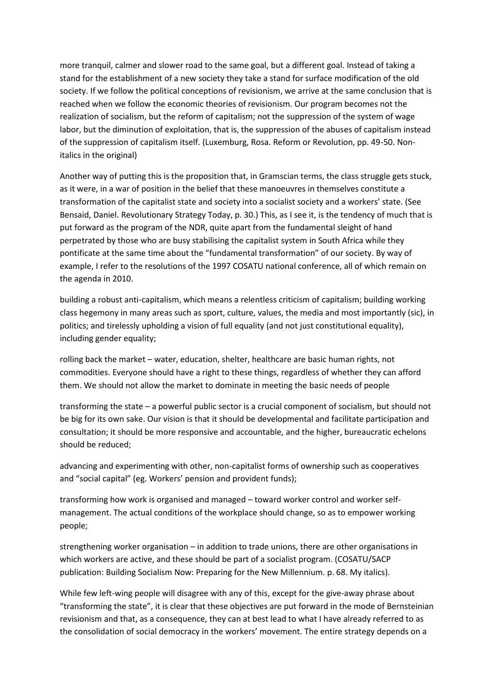more tranquil, calmer and slower road to the same goal, but a different goal. Instead of taking a stand for the establishment of a new society they take a stand for surface modification of the old society. If we follow the political conceptions of revisionism, we arrive at the same conclusion that is reached when we follow the economic theories of revisionism. Our program becomes not the realization of socialism, but the reform of capitalism; not the suppression of the system of wage labor, but the diminution of exploitation, that is, the suppression of the abuses of capitalism instead of the suppression of capitalism itself. (Luxemburg, Rosa. Reform or Revolution, pp. 49-50. Nonitalics in the original)

Another way of putting this is the proposition that, in Gramscian terms, the class struggle gets stuck, as it were, in a war of position in the belief that these manoeuvres in themselves constitute a transformation of the capitalist state and society into a socialist society and a workers' state. (See Bensaid, Daniel. Revolutionary Strategy Today, p. 30.) This, as I see it, is the tendency of much that is put forward as the program of the NDR, quite apart from the fundamental sleight of hand perpetrated by those who are busy stabilising the capitalist system in South Africa while they pontificate at the same time about the "fundamental transformation" of our society. By way of example, I refer to the resolutions of the 1997 COSATU national conference, all of which remain on the agenda in 2010.

building a robust anti-capitalism, which means a relentless criticism of capitalism; building working class hegemony in many areas such as sport, culture, values, the media and most importantly (sic), in politics; and tirelessly upholding a vision of full equality (and not just constitutional equality), including gender equality;

rolling back the market – water, education, shelter, healthcare are basic human rights, not commodities. Everyone should have a right to these things, regardless of whether they can afford them. We should not allow the market to dominate in meeting the basic needs of people

transforming the state – a powerful public sector is a crucial component of socialism, but should not be big for its own sake. Our vision is that it should be developmental and facilitate participation and consultation; it should be more responsive and accountable, and the higher, bureaucratic echelons should be reduced;

advancing and experimenting with other, non-capitalist forms of ownership such as cooperatives and "social capital" (eg. Workers' pension and provident funds);

transforming how work is organised and managed – toward worker control and worker selfmanagement. The actual conditions of the workplace should change, so as to empower working people;

strengthening worker organisation – in addition to trade unions, there are other organisations in which workers are active, and these should be part of a socialist program. (COSATU/SACP publication: Building Socialism Now: Preparing for the New Millennium. p. 68. My italics).

While few left-wing people will disagree with any of this, except for the give-away phrase about "transforming the state", it is clear that these objectives are put forward in the mode of Bernsteinian revisionism and that, as a consequence, they can at best lead to what I have already referred to as the consolidation of social democracy in the workers' movement. The entire strategy depends on a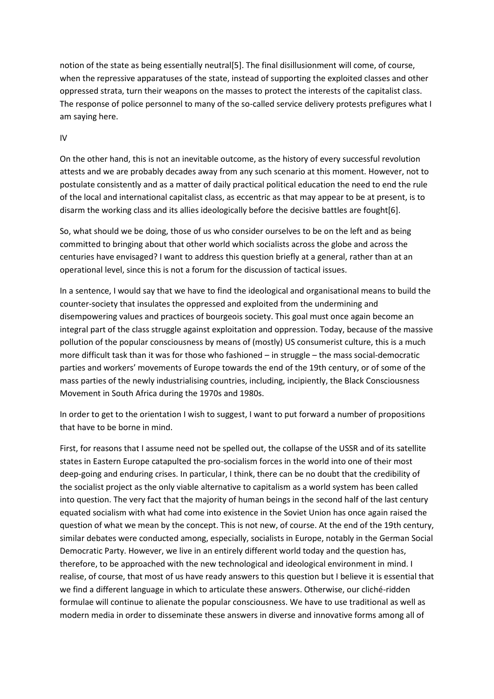notion of the state as being essentially neutral[5]. The final disillusionment will come, of course, when the repressive apparatuses of the state, instead of supporting the exploited classes and other oppressed strata, turn their weapons on the masses to protect the interests of the capitalist class. The response of police personnel to many of the so-called service delivery protests prefigures what I am saying here.

## IV

On the other hand, this is not an inevitable outcome, as the history of every successful revolution attests and we are probably decades away from any such scenario at this moment. However, not to postulate consistently and as a matter of daily practical political education the need to end the rule of the local and international capitalist class, as eccentric as that may appear to be at present, is to disarm the working class and its allies ideologically before the decisive battles are fought[6].

So, what should we be doing, those of us who consider ourselves to be on the left and as being committed to bringing about that other world which socialists across the globe and across the centuries have envisaged? I want to address this question briefly at a general, rather than at an operational level, since this is not a forum for the discussion of tactical issues.

In a sentence, I would say that we have to find the ideological and organisational means to build the counter-society that insulates the oppressed and exploited from the undermining and disempowering values and practices of bourgeois society. This goal must once again become an integral part of the class struggle against exploitation and oppression. Today, because of the massive pollution of the popular consciousness by means of (mostly) US consumerist culture, this is a much more difficult task than it was for those who fashioned – in struggle – the mass social-democratic parties and workers' movements of Europe towards the end of the 19th century, or of some of the mass parties of the newly industrialising countries, including, incipiently, the Black Consciousness Movement in South Africa during the 1970s and 1980s.

In order to get to the orientation I wish to suggest, I want to put forward a number of propositions that have to be borne in mind.

First, for reasons that I assume need not be spelled out, the collapse of the USSR and of its satellite states in Eastern Europe catapulted the pro-socialism forces in the world into one of their most deep-going and enduring crises. In particular, I think, there can be no doubt that the credibility of the socialist project as the only viable alternative to capitalism as a world system has been called into question. The very fact that the majority of human beings in the second half of the last century equated socialism with what had come into existence in the Soviet Union has once again raised the question of what we mean by the concept. This is not new, of course. At the end of the 19th century, similar debates were conducted among, especially, socialists in Europe, notably in the German Social Democratic Party. However, we live in an entirely different world today and the question has, therefore, to be approached with the new technological and ideological environment in mind. I realise, of course, that most of us have ready answers to this question but I believe it is essential that we find a different language in which to articulate these answers. Otherwise, our cliché-ridden formulae will continue to alienate the popular consciousness. We have to use traditional as well as modern media in order to disseminate these answers in diverse and innovative forms among all of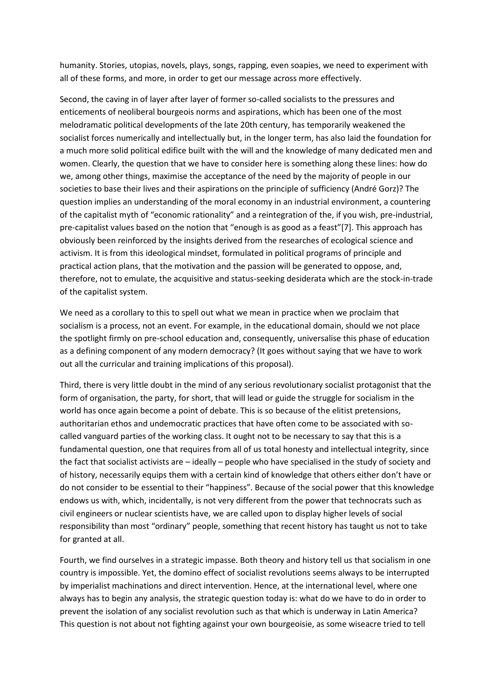humanity. Stories, utopias, novels, plays, songs, rapping, even soapies, we need to experiment with all of these forms, and more, in order to get our message across more effectively.

Second, the caving in of layer after layer of former so-called socialists to the pressures and enticements of neoliberal bourgeois norms and aspirations, which has been one of the most melodramatic political developments of the late 20th century, has temporarily weakened the socialist forces numerically and intellectually but, in the longer term, has also laid the foundation for a much more solid political edifice built with the will and the knowledge of many dedicated men and women. Clearly, the question that we have to consider here is something along these lines: how do we, among other things, maximise the acceptance of the need by the majority of people in our societies to base their lives and their aspirations on the principle of sufficiency (André Gorz)? The question implies an understanding of the moral economy in an industrial environment, a countering of the capitalist myth of "economic rationality" and a reintegration of the, if you wish, pre-industrial, pre-capitalist values based on the notion that "enough is as good as a feast"[7]. This approach has obviously been reinforced by the insights derived from the researches of ecological science and activism. It is from this ideological mindset, formulated in political programs of principle and practical action plans, that the motivation and the passion will be generated to oppose, and, therefore, not to emulate, the acquisitive and status-seeking desiderata which are the stock-in-trade of the capitalist system.

We need as a corollary to this to spell out what we mean in practice when we proclaim that socialism is a process, not an event. For example, in the educational domain, should we not place the spotlight firmly on pre-school education and, consequently, universalise this phase of education as a defining component of any modern democracy? (It goes without saying that we have to work out all the curricular and training implications of this proposal).

Third, there is very little doubt in the mind of any serious revolutionary socialist protagonist that the form of organisation, the party, for short, that will lead or guide the struggle for socialism in the world has once again become a point of debate. This is so because of the elitist pretensions, authoritarian ethos and undemocratic practices that have often come to be associated with socalled vanguard parties of the working class. It ought not to be necessary to say that this is a fundamental question, one that requires from all of us total honesty and intellectual integrity, since the fact that socialist activists are – ideally – people who have specialised in the study of society and of history, necessarily equips them with a certain kind of knowledge that others either don't have or do not consider to be essential to their "happiness". Because of the social power that this knowledge endows us with, which, incidentally, is not very different from the power that technocrats such as civil engineers or nuclear scientists have, we are called upon to display higher levels of social responsibility than most "ordinary" people, something that recent history has taught us not to take for granted at all.

Fourth, we find ourselves in a strategic impasse. Both theory and history tell us that socialism in one country is impossible. Yet, the domino effect of socialist revolutions seems always to be interrupted by imperialist machinations and direct intervention. Hence, at the international level, where one always has to begin any analysis, the strategic question today is: what do we have to do in order to prevent the isolation of any socialist revolution such as that which is underway in Latin America? This question is not about not fighting against your own bourgeoisie, as some wiseacre tried to tell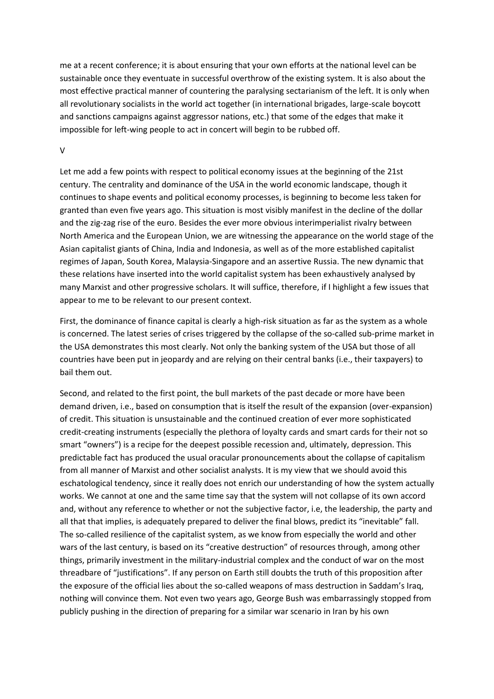me at a recent conference; it is about ensuring that your own efforts at the national level can be sustainable once they eventuate in successful overthrow of the existing system. It is also about the most effective practical manner of countering the paralysing sectarianism of the left. It is only when all revolutionary socialists in the world act together (in international brigades, large-scale boycott and sanctions campaigns against aggressor nations, etc.) that some of the edges that make it impossible for left-wing people to act in concert will begin to be rubbed off.

### V

Let me add a few points with respect to political economy issues at the beginning of the 21st century. The centrality and dominance of the USA in the world economic landscape, though it continues to shape events and political economy processes, is beginning to become less taken for granted than even five years ago. This situation is most visibly manifest in the decline of the dollar and the zig-zag rise of the euro. Besides the ever more obvious interimperialist rivalry between North America and the European Union, we are witnessing the appearance on the world stage of the Asian capitalist giants of China, India and Indonesia, as well as of the more established capitalist regimes of Japan, South Korea, Malaysia-Singapore and an assertive Russia. The new dynamic that these relations have inserted into the world capitalist system has been exhaustively analysed by many Marxist and other progressive scholars. It will suffice, therefore, if I highlight a few issues that appear to me to be relevant to our present context.

First, the dominance of finance capital is clearly a high-risk situation as far as the system as a whole is concerned. The latest series of crises triggered by the collapse of the so-called sub-prime market in the USA demonstrates this most clearly. Not only the banking system of the USA but those of all countries have been put in jeopardy and are relying on their central banks (i.e., their taxpayers) to bail them out.

Second, and related to the first point, the bull markets of the past decade or more have been demand driven, i.e., based on consumption that is itself the result of the expansion (over-expansion) of credit. This situation is unsustainable and the continued creation of ever more sophisticated credit-creating instruments (especially the plethora of loyalty cards and smart cards for their not so smart "owners") is a recipe for the deepest possible recession and, ultimately, depression. This predictable fact has produced the usual oracular pronouncements about the collapse of capitalism from all manner of Marxist and other socialist analysts. It is my view that we should avoid this eschatological tendency, since it really does not enrich our understanding of how the system actually works. We cannot at one and the same time say that the system will not collapse of its own accord and, without any reference to whether or not the subjective factor, i.e, the leadership, the party and all that that implies, is adequately prepared to deliver the final blows, predict its "inevitable" fall. The so-called resilience of the capitalist system, as we know from especially the world and other wars of the last century, is based on its "creative destruction" of resources through, among other things, primarily investment in the military-industrial complex and the conduct of war on the most threadbare of "justifications". If any person on Earth still doubts the truth of this proposition after the exposure of the official lies about the so-called weapons of mass destruction in Saddam's Iraq, nothing will convince them. Not even two years ago, George Bush was embarrassingly stopped from publicly pushing in the direction of preparing for a similar war scenario in Iran by his own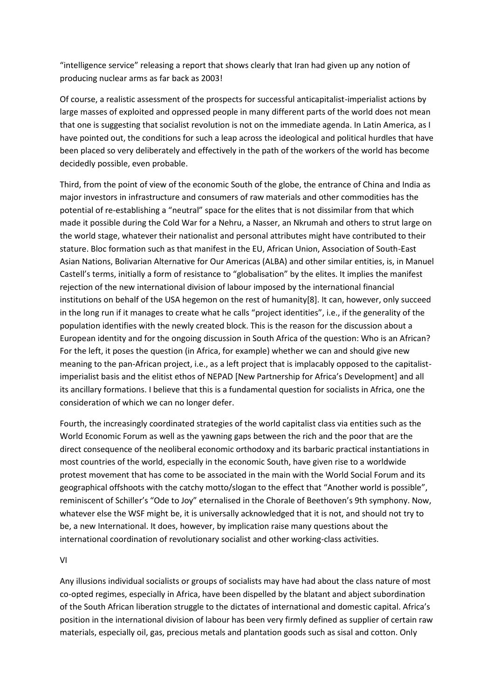"intelligence service" releasing a report that shows clearly that Iran had given up any notion of producing nuclear arms as far back as 2003!

Of course, a realistic assessment of the prospects for successful anticapitalist-imperialist actions by large masses of exploited and oppressed people in many different parts of the world does not mean that one is suggesting that socialist revolution is not on the immediate agenda. In Latin America, as I have pointed out, the conditions for such a leap across the ideological and political hurdles that have been placed so very deliberately and effectively in the path of the workers of the world has become decidedly possible, even probable.

Third, from the point of view of the economic South of the globe, the entrance of China and India as major investors in infrastructure and consumers of raw materials and other commodities has the potential of re-establishing a "neutral" space for the elites that is not dissimilar from that which made it possible during the Cold War for a Nehru, a Nasser, an Nkrumah and others to strut large on the world stage, whatever their nationalist and personal attributes might have contributed to their stature. Bloc formation such as that manifest in the EU, African Union, Association of South-East Asian Nations, Bolivarian Alternative for Our Americas (ALBA) and other similar entities, is, in Manuel Castell's terms, initially a form of resistance to "globalisation" by the elites. It implies the manifest rejection of the new international division of labour imposed by the international financial institutions on behalf of the USA hegemon on the rest of humanity[8]. It can, however, only succeed in the long run if it manages to create what he calls "project identities", i.e., if the generality of the population identifies with the newly created block. This is the reason for the discussion about a European identity and for the ongoing discussion in South Africa of the question: Who is an African? For the left, it poses the question (in Africa, for example) whether we can and should give new meaning to the pan-African project, i.e., as a left project that is implacably opposed to the capitalistimperialist basis and the elitist ethos of NEPAD [New Partnership for Africa's Development] and all its ancillary formations. I believe that this is a fundamental question for socialists in Africa, one the consideration of which we can no longer defer.

Fourth, the increasingly coordinated strategies of the world capitalist class via entities such as the World Economic Forum as well as the yawning gaps between the rich and the poor that are the direct consequence of the neoliberal economic orthodoxy and its barbaric practical instantiations in most countries of the world, especially in the economic South, have given rise to a worldwide protest movement that has come to be associated in the main with the World Social Forum and its geographical offshoots with the catchy motto/slogan to the effect that "Another world is possible", reminiscent of Schiller's "Ode to Joy" eternalised in the Chorale of Beethoven's 9th symphony. Now, whatever else the WSF might be, it is universally acknowledged that it is not, and should not try to be, a new International. It does, however, by implication raise many questions about the international coordination of revolutionary socialist and other working-class activities.

VI

Any illusions individual socialists or groups of socialists may have had about the class nature of most co-opted regimes, especially in Africa, have been dispelled by the blatant and abject subordination of the South African liberation struggle to the dictates of international and domestic capital. Africa's position in the international division of labour has been very firmly defined as supplier of certain raw materials, especially oil, gas, precious metals and plantation goods such as sisal and cotton. Only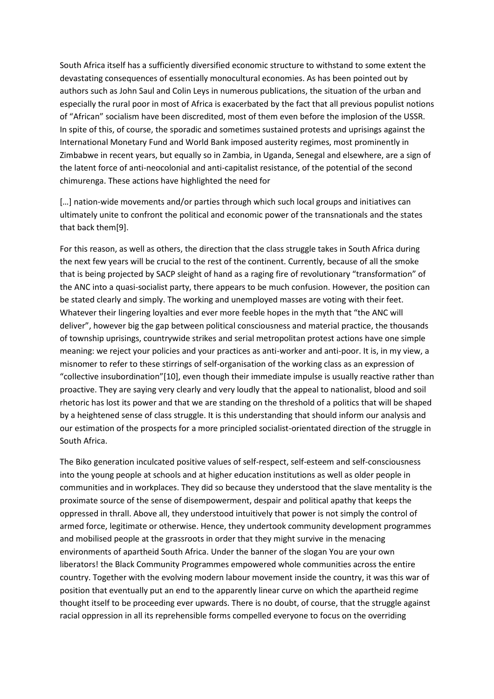South Africa itself has a sufficiently diversified economic structure to withstand to some extent the devastating consequences of essentially monocultural economies. As has been pointed out by authors such as John Saul and Colin Leys in numerous publications, the situation of the urban and especially the rural poor in most of Africa is exacerbated by the fact that all previous populist notions of "African" socialism have been discredited, most of them even before the implosion of the USSR. In spite of this, of course, the sporadic and sometimes sustained protests and uprisings against the International Monetary Fund and World Bank imposed austerity regimes, most prominently in Zimbabwe in recent years, but equally so in Zambia, in Uganda, Senegal and elsewhere, are a sign of the latent force of anti-neocolonial and anti-capitalist resistance, of the potential of the second chimurenga. These actions have highlighted the need for

[...] nation-wide movements and/or parties through which such local groups and initiatives can ultimately unite to confront the political and economic power of the transnationals and the states that back them[9].

For this reason, as well as others, the direction that the class struggle takes in South Africa during the next few years will be crucial to the rest of the continent. Currently, because of all the smoke that is being projected by SACP sleight of hand as a raging fire of revolutionary "transformation" of the ANC into a quasi-socialist party, there appears to be much confusion. However, the position can be stated clearly and simply. The working and unemployed masses are voting with their feet. Whatever their lingering loyalties and ever more feeble hopes in the myth that "the ANC will deliver", however big the gap between political consciousness and material practice, the thousands of township uprisings, countrywide strikes and serial metropolitan protest actions have one simple meaning: we reject your policies and your practices as anti-worker and anti-poor. It is, in my view, a misnomer to refer to these stirrings of self-organisation of the working class as an expression of "collective insubordination"[10], even though their immediate impulse is usually reactive rather than proactive. They are saying very clearly and very loudly that the appeal to nationalist, blood and soil rhetoric has lost its power and that we are standing on the threshold of a politics that will be shaped by a heightened sense of class struggle. It is this understanding that should inform our analysis and our estimation of the prospects for a more principled socialist-orientated direction of the struggle in South Africa.

The Biko generation inculcated positive values of self-respect, self-esteem and self-consciousness into the young people at schools and at higher education institutions as well as older people in communities and in workplaces. They did so because they understood that the slave mentality is the proximate source of the sense of disempowerment, despair and political apathy that keeps the oppressed in thrall. Above all, they understood intuitively that power is not simply the control of armed force, legitimate or otherwise. Hence, they undertook community development programmes and mobilised people at the grassroots in order that they might survive in the menacing environments of apartheid South Africa. Under the banner of the slogan You are your own liberators! the Black Community Programmes empowered whole communities across the entire country. Together with the evolving modern labour movement inside the country, it was this war of position that eventually put an end to the apparently linear curve on which the apartheid regime thought itself to be proceeding ever upwards. There is no doubt, of course, that the struggle against racial oppression in all its reprehensible forms compelled everyone to focus on the overriding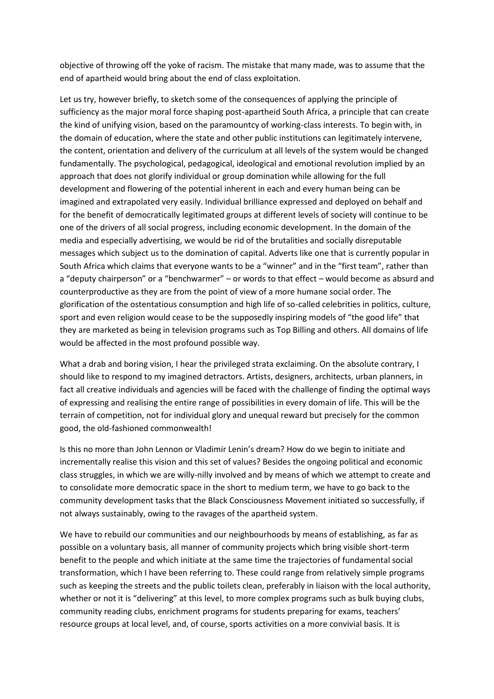objective of throwing off the yoke of racism. The mistake that many made, was to assume that the end of apartheid would bring about the end of class exploitation.

Let us try, however briefly, to sketch some of the consequences of applying the principle of sufficiency as the major moral force shaping post-apartheid South Africa, a principle that can create the kind of unifying vision, based on the paramountcy of working-class interests. To begin with, in the domain of education, where the state and other public institutions can legitimately intervene, the content, orientation and delivery of the curriculum at all levels of the system would be changed fundamentally. The psychological, pedagogical, ideological and emotional revolution implied by an approach that does not glorify individual or group domination while allowing for the full development and flowering of the potential inherent in each and every human being can be imagined and extrapolated very easily. Individual brilliance expressed and deployed on behalf and for the benefit of democratically legitimated groups at different levels of society will continue to be one of the drivers of all social progress, including economic development. In the domain of the media and especially advertising, we would be rid of the brutalities and socially disreputable messages which subject us to the domination of capital. Adverts like one that is currently popular in South Africa which claims that everyone wants to be a "winner" and in the "first team", rather than a "deputy chairperson" or a "benchwarmer" – or words to that effect – would become as absurd and counterproductive as they are from the point of view of a more humane social order. The glorification of the ostentatious consumption and high life of so-called celebrities in politics, culture, sport and even religion would cease to be the supposedly inspiring models of "the good life" that they are marketed as being in television programs such as Top Billing and others. All domains of life would be affected in the most profound possible way.

What a drab and boring vision, I hear the privileged strata exclaiming. On the absolute contrary, I should like to respond to my imagined detractors. Artists, designers, architects, urban planners, in fact all creative individuals and agencies will be faced with the challenge of finding the optimal ways of expressing and realising the entire range of possibilities in every domain of life. This will be the terrain of competition, not for individual glory and unequal reward but precisely for the common good, the old-fashioned commonwealth!

Is this no more than John Lennon or Vladimir Lenin's dream? How do we begin to initiate and incrementally realise this vision and this set of values? Besides the ongoing political and economic class struggles, in which we are willy-nilly involved and by means of which we attempt to create and to consolidate more democratic space in the short to medium term, we have to go back to the community development tasks that the Black Consciousness Movement initiated so successfully, if not always sustainably, owing to the ravages of the apartheid system.

We have to rebuild our communities and our neighbourhoods by means of establishing, as far as possible on a voluntary basis, all manner of community projects which bring visible short-term benefit to the people and which initiate at the same time the trajectories of fundamental social transformation, which I have been referring to. These could range from relatively simple programs such as keeping the streets and the public toilets clean, preferably in liaison with the local authority, whether or not it is "delivering" at this level, to more complex programs such as bulk buying clubs, community reading clubs, enrichment programs for students preparing for exams, teachers' resource groups at local level, and, of course, sports activities on a more convivial basis. It is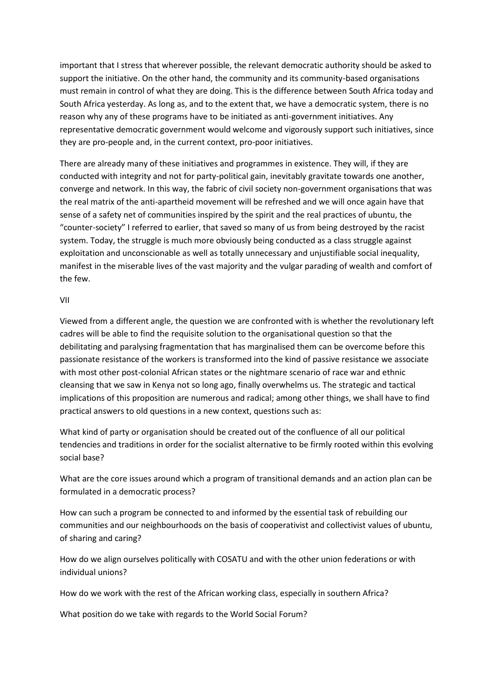important that I stress that wherever possible, the relevant democratic authority should be asked to support the initiative. On the other hand, the community and its community-based organisations must remain in control of what they are doing. This is the difference between South Africa today and South Africa yesterday. As long as, and to the extent that, we have a democratic system, there is no reason why any of these programs have to be initiated as anti-government initiatives. Any representative democratic government would welcome and vigorously support such initiatives, since they are pro-people and, in the current context, pro-poor initiatives.

There are already many of these initiatives and programmes in existence. They will, if they are conducted with integrity and not for party-political gain, inevitably gravitate towards one another, converge and network. In this way, the fabric of civil society non-government organisations that was the real matrix of the anti-apartheid movement will be refreshed and we will once again have that sense of a safety net of communities inspired by the spirit and the real practices of ubuntu, the "counter-society" I referred to earlier, that saved so many of us from being destroyed by the racist system. Today, the struggle is much more obviously being conducted as a class struggle against exploitation and unconscionable as well as totally unnecessary and unjustifiable social inequality, manifest in the miserable lives of the vast majority and the vulgar parading of wealth and comfort of the few.

### VII

Viewed from a different angle, the question we are confronted with is whether the revolutionary left cadres will be able to find the requisite solution to the organisational question so that the debilitating and paralysing fragmentation that has marginalised them can be overcome before this passionate resistance of the workers is transformed into the kind of passive resistance we associate with most other post-colonial African states or the nightmare scenario of race war and ethnic cleansing that we saw in Kenya not so long ago, finally overwhelms us. The strategic and tactical implications of this proposition are numerous and radical; among other things, we shall have to find practical answers to old questions in a new context, questions such as:

What kind of party or organisation should be created out of the confluence of all our political tendencies and traditions in order for the socialist alternative to be firmly rooted within this evolving social base?

What are the core issues around which a program of transitional demands and an action plan can be formulated in a democratic process?

How can such a program be connected to and informed by the essential task of rebuilding our communities and our neighbourhoods on the basis of cooperativist and collectivist values of ubuntu, of sharing and caring?

How do we align ourselves politically with COSATU and with the other union federations or with individual unions?

How do we work with the rest of the African working class, especially in southern Africa?

What position do we take with regards to the World Social Forum?